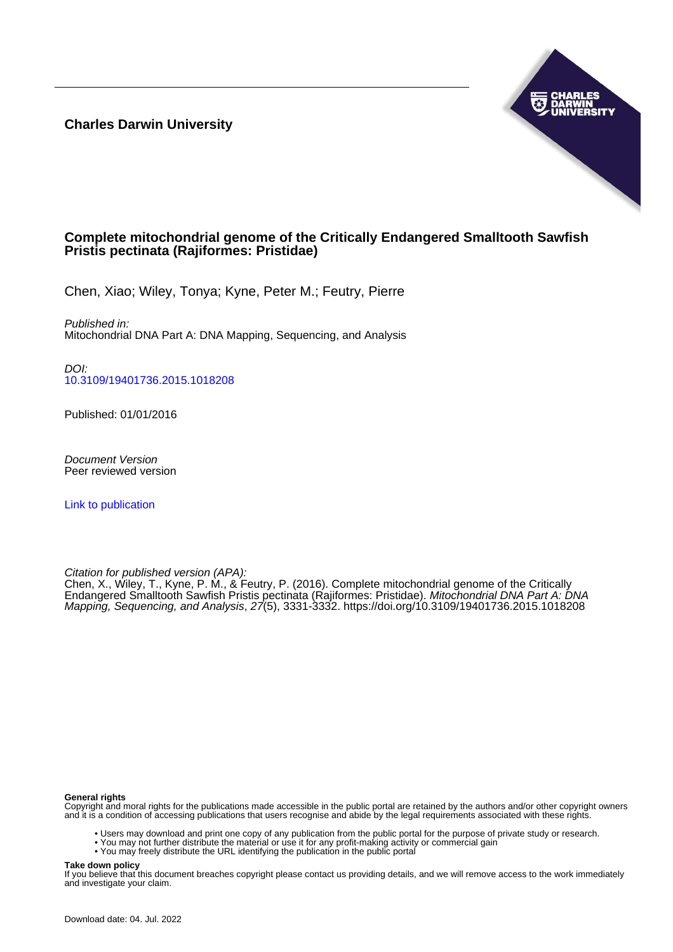**Charles Darwin University**



## **Complete mitochondrial genome of the Critically Endangered Smalltooth Sawfish Pristis pectinata (Rajiformes: Pristidae)**

Chen, Xiao; Wiley, Tonya; Kyne, Peter M.; Feutry, Pierre

Published in: Mitochondrial DNA Part A: DNA Mapping, Sequencing, and Analysis

DOI: [10.3109/19401736.2015.1018208](https://doi.org/10.3109/19401736.2015.1018208)

Published: 01/01/2016

Document Version Peer reviewed version

[Link to publication](https://researchers.cdu.edu.au/en/publications/8890c2d8-e133-4455-95b8-21dfae298f69)

Citation for published version (APA):

Chen, X., Wiley, T., Kyne, P. M., & Feutry, P. (2016). Complete mitochondrial genome of the Critically Endangered Smalltooth Sawfish Pristis pectinata (Rajiformes: Pristidae). Mitochondrial DNA Part A: DNA Mapping, Sequencing, and Analysis, 27(5), 3331-3332. <https://doi.org/10.3109/19401736.2015.1018208>

#### **General rights**

Copyright and moral rights for the publications made accessible in the public portal are retained by the authors and/or other copyright owners and it is a condition of accessing publications that users recognise and abide by the legal requirements associated with these rights.

- Users may download and print one copy of any publication from the public portal for the purpose of private study or research.
- You may not further distribute the material or use it for any profit-making activity or commercial gain
- You may freely distribute the URL identifying the publication in the public portal

#### **Take down policy**

If you believe that this document breaches copyright please contact us providing details, and we will remove access to the work immediately and investigate your claim.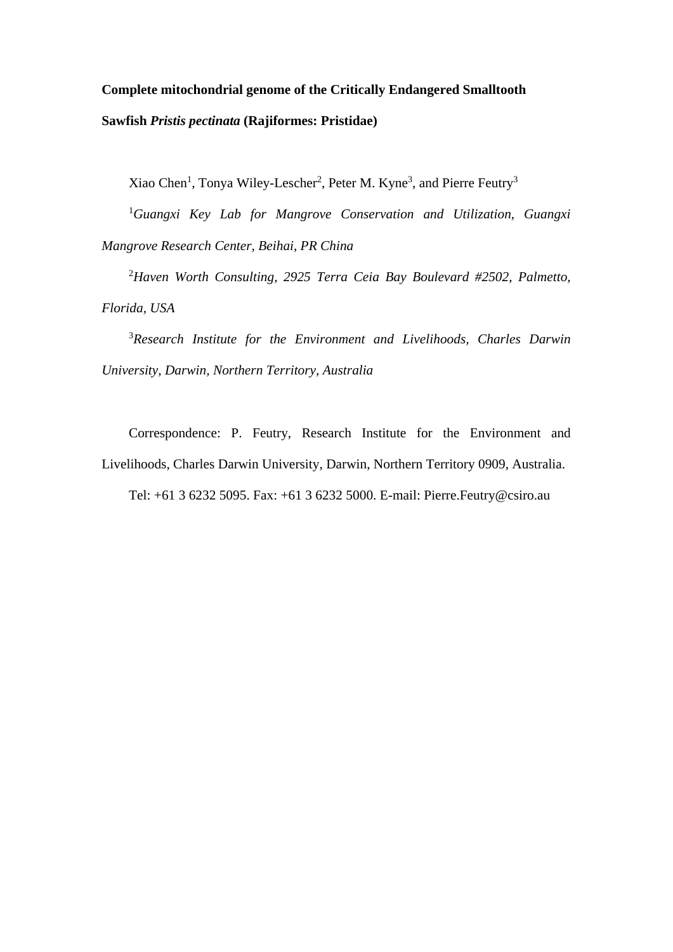# **Complete mitochondrial genome of the Critically Endangered Smalltooth Sawfish** *Pristis pectinata* **(Rajiformes: Pristidae)**

Xiao Chen<sup>1</sup>, Tonya Wiley-Lescher<sup>2</sup>, Peter M. Kyne<sup>3</sup>, and Pierre Feutry<sup>3</sup>

1 *Guangxi Key Lab for Mangrove Conservation and Utilization, Guangxi Mangrove Research Center, Beihai, PR China*

2 *Haven Worth Consulting, 2925 Terra Ceia Bay Boulevard #2502, Palmetto, Florida, USA*

3 *Research Institute for the Environment and Livelihoods, Charles Darwin University, Darwin, Northern Territory, Australia*

Correspondence: P. Feutry, Research Institute for the Environment and Livelihoods, Charles Darwin University, Darwin, Northern Territory 0909, Australia. Tel: +61 3 6232 5095. Fax: +61 3 6232 5000. E-mail: Pierre.Feutry@csiro.au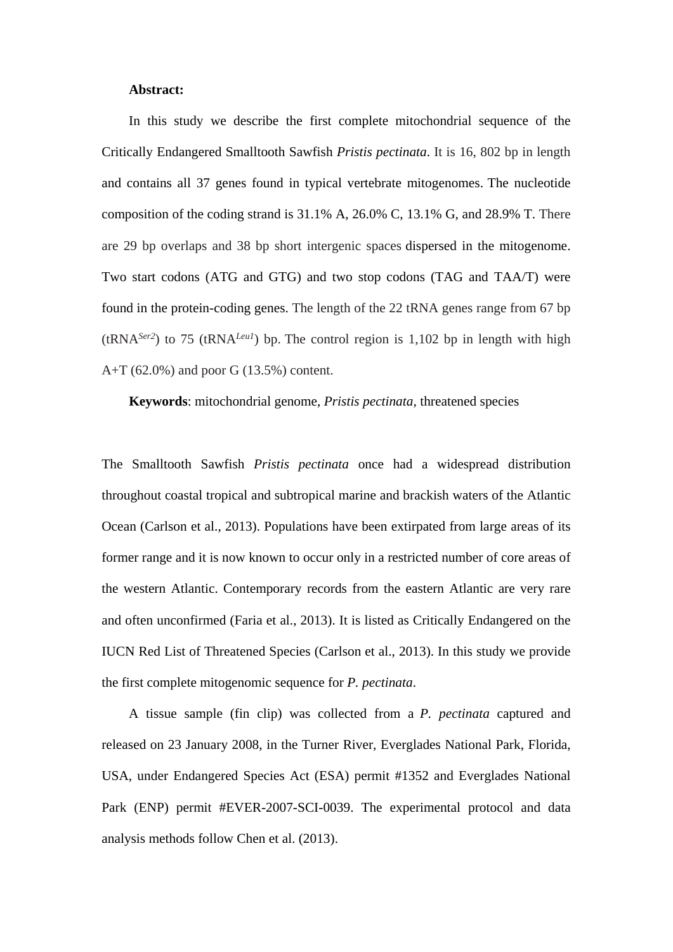#### **Abstract:**

In this study we describe the first complete mitochondrial sequence of the Critically Endangered Smalltooth Sawfish *Pristis pectinata*. It is 16, 802 bp in length and contains all 37 genes found in typical vertebrate mitogenomes. The nucleotide composition of the coding strand is 31.1% A, 26.0% C, 13.1% G, and 28.9% T. There are 29 bp overlaps and 38 bp short intergenic spaces dispersed in the mitogenome. Two start codons (ATG and GTG) and two stop codons (TAG and TAA/T) were found in the protein-coding genes. The length of the 22 tRNA genes range from 67 bp (tRNA<sup>Ser2</sup>) to 75 (tRNA<sup>Leu1</sup>) bp. The control region is 1,102 bp in length with high A+T (62.0%) and poor G (13.5%) content.

**Keywords**: mitochondrial genome, *Pristis pectinata,* threatened species

The Smalltooth Sawfish *Pristis pectinata* once had a widespread distribution throughout coastal tropical and subtropical marine and brackish waters of the Atlantic Ocean (Carlson et al., 2013). Populations have been extirpated from large areas of its former range and it is now known to occur only in a restricted number of core areas of the western Atlantic. Contemporary records from the eastern Atlantic are very rare and often unconfirmed (Faria et al., 2013). It is listed as Critically Endangered on the IUCN Red List of Threatened Species (Carlson et al., 2013). In this study we provide the first complete mitogenomic sequence for *P. pectinata*.

A tissue sample (fin clip) was collected from a *P. pectinata* captured and released on 23 January 2008, in the Turner River, Everglades National Park, Florida, USA, under Endangered Species Act (ESA) permit #1352 and Everglades National Park (ENP) permit #EVER-2007-SCI-0039. The experimental protocol and data analysis methods follow Chen et al. (2013).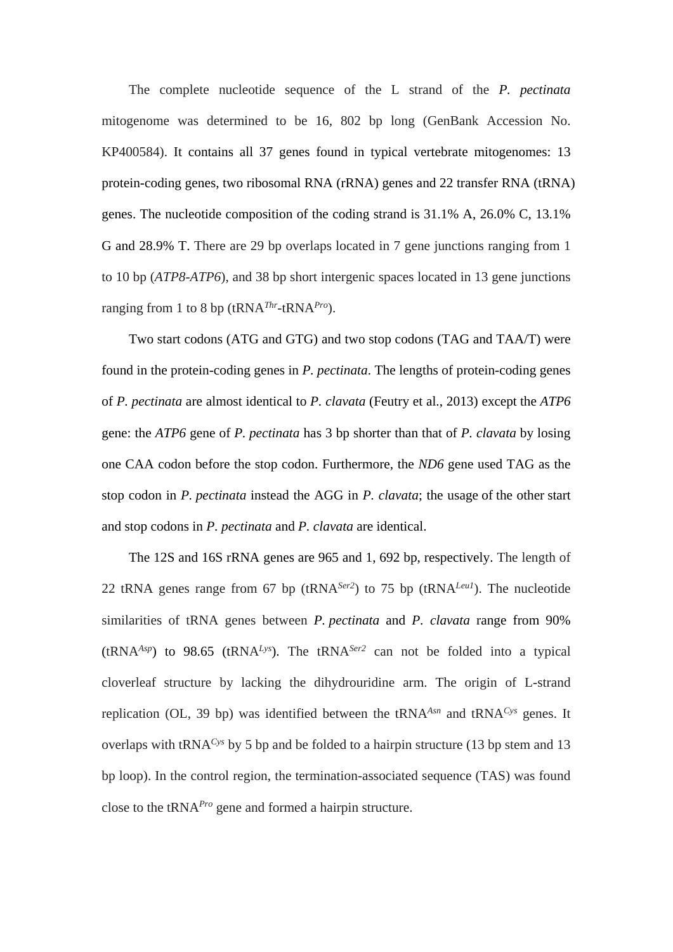The complete nucleotide sequence of the L strand of the *P. pectinata* mitogenome was determined to be 16, 802 bp long (GenBank Accession No. KP400584). It contains all 37 genes found in typical vertebrate mitogenomes: 13 protein-coding genes, two ribosomal RNA (rRNA) genes and 22 transfer RNA (tRNA) genes. The nucleotide composition of the coding strand is 31.1% A, 26.0% C, 13.1% G and 28.9% T. There are 29 bp overlaps located in 7 gene junctions ranging from 1 to 10 bp (*ATP8*-*ATP6*), and 38 bp short intergenic spaces located in 13 gene junctions ranging from 1 to 8 bp (tRNA*Thr*-tRNA*Pro*).

Two start codons (ATG and GTG) and two stop codons (TAG and TAA/T) were found in the protein-coding genes in *P. pectinata*. The lengths of protein-coding genes of *P. pectinata* are almost identical to *P. clavata* (Feutry et al., 2013) except the *ATP6* gene: the *ATP6* gene of *P. pectinata* has 3 bp shorter than that of *P. clavata* by losing one CAA codon before the stop codon. Furthermore, the *ND6* gene used TAG as the stop codon in *P. pectinata* instead the AGG in *P. clavata*; the usage of the other start and stop codons in *P. pectinata* and *P. clavata* are identical.

The 12S and 16S rRNA genes are 965 and 1, 692 bp, respectively. The length of 22 tRNA genes range from 67 bp (tRNA*Ser2*) to 75 bp (tRNA*Leu1*). The nucleotide similarities of tRNA genes between *P. pectinata* and *P. clavata* range from 90%  $(t\text{RNA}^{Asp})$  to 98.65  $(t\text{RNA}^{Lys})$ . The  $t\text{RNA}^{Ser2}$  can not be folded into a typical cloverleaf structure by lacking the dihydrouridine arm. The origin of L-strand replication (OL, 39 bp) was identified between the tRNA*Asn* and tRNA*Cys* genes. It overlaps with tRNA*Cys* by 5 bp and be folded to a hairpin structure (13 bp stem and 13 bp loop). In the control region, the termination-associated sequence (TAS) was found close to the tRNA*Pro* gene and formed a hairpin structure.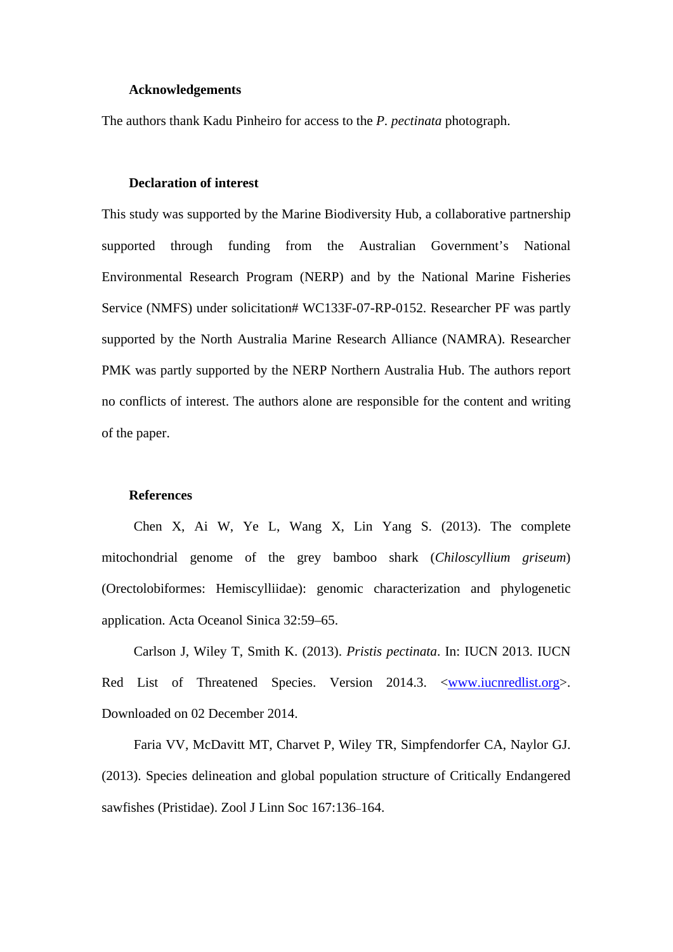#### **Acknowledgements**

The authors thank Kadu Pinheiro for access to the *P. pectinata* photograph.

### **Declaration of interest**

This study was supported by the Marine Biodiversity Hub, a collaborative partnership supported through funding from the Australian Government's National Environmental Research Program (NERP) and by the National Marine Fisheries Service (NMFS) under solicitation# WC133F-07-RP-0152. Researcher PF was partly supported by the North Australia Marine Research Alliance (NAMRA). Researcher PMK was partly supported by the NERP Northern Australia Hub. The authors report no conflicts of interest. The authors alone are responsible for the content and writing of the paper.

#### **References**

Chen X, Ai W, Ye L, Wang X, Lin Yang S. (2013). The complete mitochondrial genome of the grey bamboo shark (*Chiloscyllium griseum*) (Orectolobiformes: Hemiscylliidae): genomic characterization and phylogenetic application. Acta Oceanol Sinica 32:59–65.

Carlson J, Wiley T, Smith K. (2013). *Pristis pectinata*. In: IUCN 2013. IUCN Red List of Threatened Species. Version 2014.3. <<u>www.iucnredlist.org</u>>. Downloaded on 02 December 2014.

Faria VV, McDavitt MT, Charvet P, Wiley TR, Simpfendorfer CA, Naylor GJ. (2013). Species delineation and global population structure of Critically Endangered sawfishes (Pristidae). Zool J Linn Soc 167:136–164.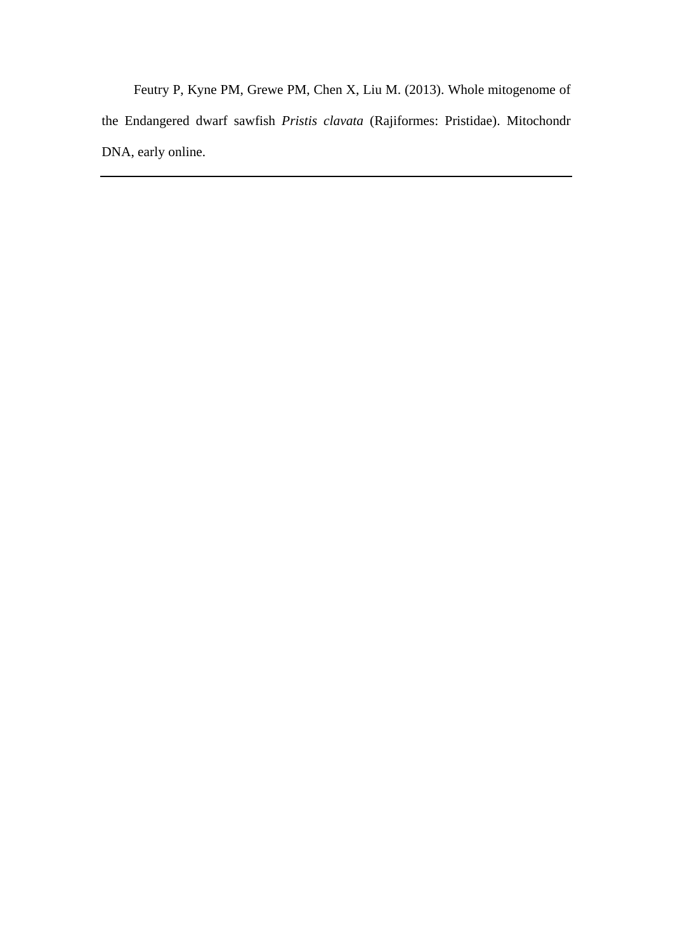Feutry P, Kyne PM, Grewe PM, Chen X, Liu M. (2013). Whole mitogenome of the Endangered dwarf sawfish *Pristis clavata* (Rajiformes: Pristidae). Mitochondr DNA, early online.